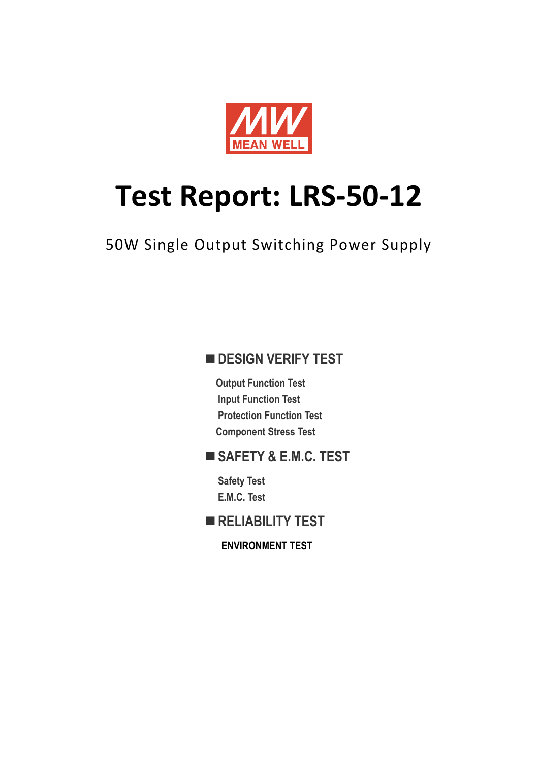

# **Test Report: LRS-50-12**

50W Single Output Switching Power Supply

# **DESIGN VERIFY TEST**

**Output Function Test Input Function Test Protection Function Test Component Stress Test** 

## **SAFETY & E.M.C. TEST**

**Safety Test E.M.C. Test** 

**RELIABILITY TEST** 

**ENVIRONMENT TEST**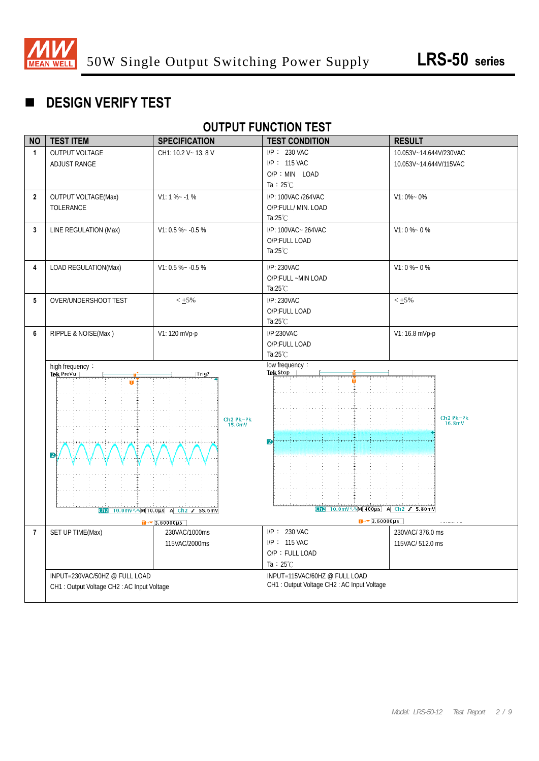

# **DESIGN VERIFY TEST**

## **OUTPUT FUNCTION TEST**

| <b>NO</b>      | <b>TEST ITEM</b>                            | <b>SPECIFICATION</b>                       | <b>TEST CONDITION</b>                       | <b>RESULT</b>                   |
|----------------|---------------------------------------------|--------------------------------------------|---------------------------------------------|---------------------------------|
| $\mathbf{1}$   | <b>OUTPUT VOLTAGE</b>                       | CH1: 10.2 V ~ 13.8 V                       | I/P: 230 VAC                                | 10.053V~14.644V/230VAC          |
|                | <b>ADJUST RANGE</b>                         |                                            | I/P: 115 VAC                                | 10.053V~14.644V/115VAC          |
|                |                                             |                                            | O/P: MIN LOAD                               |                                 |
|                |                                             |                                            | Ta: $25^{\circ}$ C                          |                                 |
| $\mathbf{2}$   | <b>OUTPUT VOLTAGE(Max)</b>                  | $V1: 1 % - 1 %$                            | I/P: 100VAC /264VAC                         | $V1:0\% - 0\%$                  |
|                | TOLERANCE                                   |                                            | O/P:FULL/ MIN. LOAD                         |                                 |
|                |                                             |                                            | Ta: $25^{\circ}$ C                          |                                 |
| 3              | LINE REGULATION (Max)                       | $V1: 0.5 % ~ -0.5 %$                       | I/P: 100VAC ~ 264VAC                        | $V1:0\% - 0\%$                  |
|                |                                             |                                            | O/P:FULL LOAD                               |                                 |
|                |                                             |                                            | Ta: $25^{\circ}$ C                          |                                 |
| 4              | LOAD REGULATION(Max)                        | $V1: 0.5 % ~ -0.5 %$                       | I/P: 230VAC                                 | $V1:0\% - 0\%$                  |
|                |                                             |                                            | O/P:FULL ~MIN LOAD                          |                                 |
|                |                                             |                                            | Ta: $25^{\circ}$ C                          |                                 |
| 5              | OVER/UNDERSHOOT TEST                        | $< +5\%$                                   | I/P: 230VAC                                 | $< +5\%$                        |
|                |                                             |                                            | O/P:FULL LOAD                               |                                 |
|                |                                             |                                            | Ta: $25^{\circ}$ C                          |                                 |
| 6              | RIPPLE & NOISE(Max)                         | V1: 120 mVp-p                              | I/P:230VAC                                  | V1: 16.8 mVp-p                  |
|                |                                             |                                            | O/P:FULL LOAD                               |                                 |
|                |                                             |                                            | Ta: $25^{\circ}$ C                          |                                 |
|                | high frequency:                             |                                            | low frequency:<br>Tek Stop                  |                                 |
|                | Tek Prevu                                   | Trig?                                      |                                             |                                 |
|                |                                             |                                            |                                             |                                 |
|                |                                             |                                            |                                             |                                 |
|                |                                             |                                            |                                             |                                 |
|                |                                             | $Ch2$ Pk-Pk<br>15.6mV                      |                                             | Ch <sub>2</sub> Pk-Pk<br>16.8mV |
|                |                                             |                                            |                                             |                                 |
|                |                                             |                                            | $\mathbf{D}$                                |                                 |
|                | 2                                           |                                            |                                             |                                 |
|                |                                             |                                            |                                             |                                 |
|                |                                             |                                            |                                             |                                 |
|                |                                             |                                            |                                             |                                 |
|                |                                             |                                            |                                             |                                 |
|                |                                             | Ch2 10.0mV \ \ \ M 10.0us A Ch2 $f$ 55.6mV | Ch2 10.0mV \ \ \ M 400us A Ch2 $f$ 5.80mV   |                                 |
|                |                                             | $\sqrt{3.60000 \text{ }\mu\text{s}}$       | $\sqrt{3.60000 \text{ }\mu\text{s}}$        |                                 |
| $\overline{7}$ | SET UP TIME(Max)                            | 230VAC/1000ms                              | I/P: 230 VAC                                | 230VAC/376.0 ms                 |
|                |                                             | 115VAC/2000ms                              | I/P: 115 VAC                                | 115VAC/512.0 ms                 |
|                |                                             |                                            | O/P: FULL LOAD                              |                                 |
|                |                                             |                                            | Ta: $25^{\circ}$ C                          |                                 |
|                | INPUT=230VAC/50HZ @ FULL LOAD               |                                            | INPUT=115VAC/60HZ @ FULL LOAD               |                                 |
|                | CH1 : Output Voltage CH2 : AC Input Voltage |                                            | CH1 : Output Voltage CH2 : AC Input Voltage |                                 |
|                |                                             |                                            |                                             |                                 |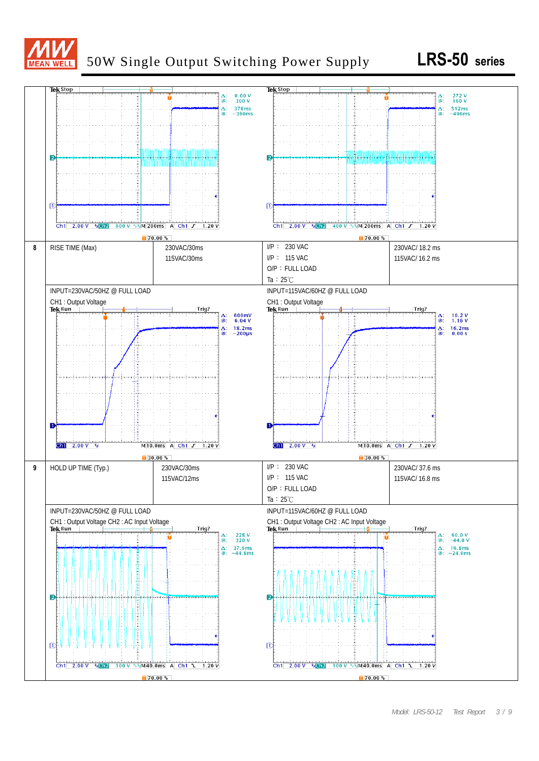

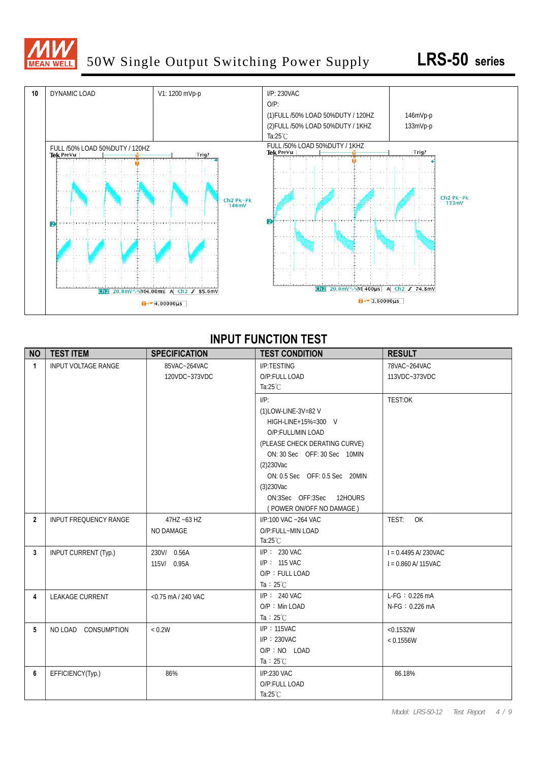

# 50W Single Output Switching Power Supply **LRS-50 series**



#### **INPUT FUNCTION TEST**

| <b>NO</b>      | <b>TEST ITEM</b>             | <b>SPECIFICATION</b> | <b>TEST CONDITION</b>          | <b>RESULT</b>           |
|----------------|------------------------------|----------------------|--------------------------------|-------------------------|
| $\overline{1}$ | <b>INPUT VOLTAGE RANGE</b>   | 85VAC~264VAC         | <b>I/P:TESTING</b>             | 78VAC~264VAC            |
|                |                              | 120VDC~373VDC        | O/P:FULL LOAD                  | 113VDC~373VDC           |
|                |                              |                      | Ta: $25^{\circ}$ C             |                         |
|                |                              |                      | $I/P$ :                        | TEST:OK                 |
|                |                              |                      | (1)LOW-LINE-3V=82 V            |                         |
|                |                              |                      | HIGH-LINE+15%=300 V            |                         |
|                |                              |                      | O/P:FULL/MIN LOAD              |                         |
|                |                              |                      | (PLEASE CHECK DERATING CURVE)  |                         |
|                |                              |                      | ON: 30 Sec OFF: 30 Sec 10MIN   |                         |
|                |                              |                      | $(2)$ 230Vac                   |                         |
|                |                              |                      | ON: 0.5 Sec OFF: 0.5 Sec 20MIN |                         |
|                |                              |                      | $(3)$ 230Vac                   |                         |
|                |                              |                      | ON:3Sec OFF:3Sec 12HOURS       |                         |
|                |                              |                      | (POWER ON/OFF NO DAMAGE)       |                         |
| $\overline{2}$ | <b>INPUT FREQUENCY RANGE</b> | $47$ HZ ~63 HZ       | I/P:100 VAC ~264 VAC           | OK<br>TEST:             |
|                |                              | NO DAMAGE            | O/P:FULL~MIN LOAD              |                         |
|                |                              |                      | Ta: $25^{\circ}$ C             |                         |
| 3              | INPUT CURRENT (Typ.)         | 230V/ 0.56A          | I/P: 230 VAC                   | $I = 0.4495 A/ 230 VAC$ |
|                |                              | 115V/ 0.95A          | $I/P$ : 115 VAC                | $I = 0.860$ A/ 115VAC   |
|                |                              |                      | O/P: FULL LOAD                 |                         |
|                |                              |                      | Ta : $25^{\circ}$ C            |                         |
| 4              | <b>LEAKAGE CURRENT</b>       | <0.75 mA / 240 VAC   | $I/P$ : 240 VAC                | $L-FG: 0.226mA$         |
|                |                              |                      | $O/P$ : Min LOAD               | N-FG: 0.226 mA          |
|                |                              |                      | Ta : $25^{\circ}$ C            |                         |
| 5              | NO LOAD CONSUMPTION          | < 0.2W               | I/P: 115VAC                    | < 0.1532W               |
|                |                              |                      | $I/P$ : 230VAC                 | < 0.1556W               |
|                |                              |                      | $O/P : NO$ LOAD                |                         |
|                |                              |                      | Ta : $25^{\circ}$ C            |                         |
| 6              | EFFICIENCY(Typ.)             | 86%                  | I/P:230 VAC                    | 86.18%                  |
|                |                              |                      | O/P:FULL LOAD                  |                         |
|                |                              |                      | Ta: $25^{\circ}$ C             |                         |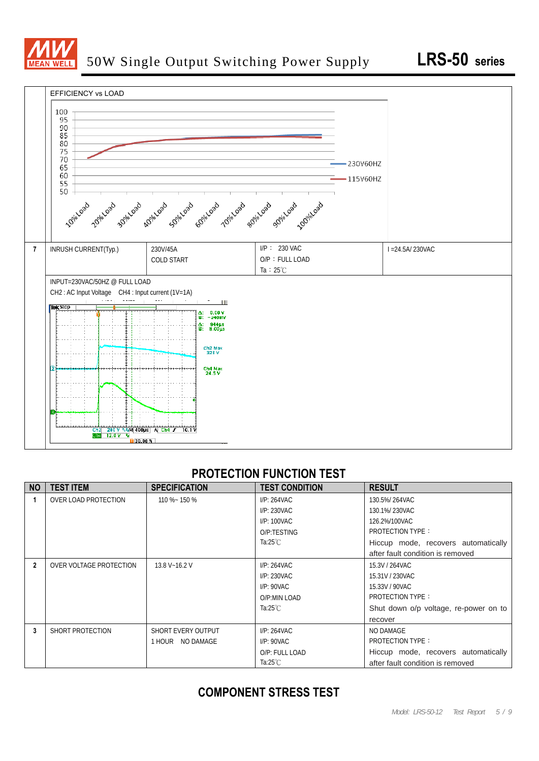



#### **PROTECTION FUNCTION TEST**

| <b>NO</b>      | <b>TEST ITEM</b>        | <b>SPECIFICATION</b> | <b>TEST CONDITION</b> | <b>RESULT</b>                         |
|----------------|-------------------------|----------------------|-----------------------|---------------------------------------|
|                | OVER LOAD PROTECTION    | 110 %~ 150 %         | I/P: 264VAC           | 130.5%/264VAC                         |
|                |                         |                      | I/P: 230VAC           | 130.1%/230VAC                         |
|                |                         |                      | $I/P: 100$ VAC        | 126.2%/100VAC                         |
|                |                         |                      | O/P:TESTING           | <b>PROTECTION TYPE:</b>               |
|                |                         |                      | Ta:25 $°C$            | Hiccup mode, recovers automatically   |
|                |                         |                      |                       | after fault condition is removed      |
| $\overline{2}$ | OVER VOLTAGE PROTECTION | 13.8 V~16.2 V        | I/P: 264VAC           | 15.3V / 264VAC                        |
|                |                         |                      | I/P: 230VAC           | 15.31V / 230VAC                       |
|                |                         |                      | $I/P: 90$ VAC         | 15.33V / 90VAC                        |
|                |                         |                      | O/P:MIN LOAD          | <b>PROTECTION TYPE:</b>               |
|                |                         |                      | Ta:25 $°C$            | Shut down o/p voltage, re-power on to |
|                |                         |                      |                       | recover                               |
| 3              | SHORT PROTECTION        | SHORT EVERY OUTPUT   | I/P: 264VAC           | NO DAMAGE                             |
|                |                         | 1 HOUR NO DAMAGE     | $I/P: 90$ VAC         | <b>PROTECTION TYPE:</b>               |
|                |                         |                      | O/P: FULL LOAD        | Hiccup mode, recovers automatically   |
|                |                         |                      | Ta:25 $°C$            | after fault condition is removed      |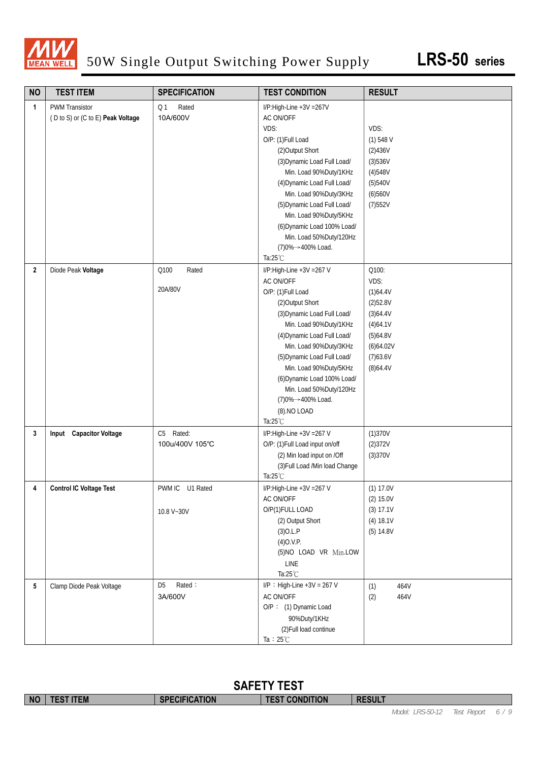

# 50W Single Output Switching Power Supply **LRS-50 series**

| <b>NO</b>       | <b>TEST ITEM</b>                  | <b>SPECIFICATION</b>    | <b>TEST CONDITION</b>             | <b>RESULT</b>      |
|-----------------|-----------------------------------|-------------------------|-----------------------------------|--------------------|
| 1               | <b>PWM Transistor</b>             | Rated<br>Q <sub>1</sub> | I/P:High-Line +3V =267V           |                    |
|                 | (D to S) or (C to E) Peak Voltage | 10A/600V                | AC ON/OFF                         |                    |
|                 |                                   |                         | VDS:                              | VDS:               |
|                 |                                   |                         | O/P: (1)Full Load                 | $(1)$ 548 V        |
|                 |                                   |                         | (2) Output Short                  | (2)436V            |
|                 |                                   |                         | (3) Dynamic Load Full Load/       | (3)536V            |
|                 |                                   |                         | Min. Load 90%Duty/1KHz            | (4)548V            |
|                 |                                   |                         | (4) Dynamic Load Full Load/       | (5)540V            |
|                 |                                   |                         | Min. Load 90%Duty/3KHz            | (6)560V            |
|                 |                                   |                         | (5) Dynamic Load Full Load/       | (7)552V            |
|                 |                                   |                         | Min. Load 90%Duty/5KHz            |                    |
|                 |                                   |                         | (6) Dynamic Load 100% Load/       |                    |
|                 |                                   |                         | Min. Load 50%Duty/120Hz           |                    |
|                 |                                   |                         | (7)0%→400% Load.                  |                    |
|                 |                                   |                         | Ta: $25^{\circ}$ C                |                    |
| $\overline{2}$  | Diode Peak Voltage                | Q100<br>Rated           | I/P:High-Line +3V =267 V          | Q100:              |
|                 |                                   |                         | <b>AC ON/OFF</b>                  | VDS:               |
|                 |                                   | 20A/80V                 | O/P: (1)Full Load                 | (1)64.4V           |
|                 |                                   |                         | (2) Output Short                  | (2)52.8V           |
|                 |                                   |                         | (3) Dynamic Load Full Load/       | (3)64.4V           |
|                 |                                   |                         | Min. Load 90%Duty/1KHz            | (4)64.1V           |
|                 |                                   |                         | (4) Dynamic Load Full Load/       | (5)64.8V           |
|                 |                                   |                         | Min. Load 90%Duty/3KHz            | (6)64.02V          |
|                 |                                   |                         | (5) Dynamic Load Full Load/       | (7)63.6V           |
|                 |                                   |                         | Min. Load 90%Duty/5KHz            | (8)64.4V           |
|                 |                                   |                         | (6) Dynamic Load 100% Load/       |                    |
|                 |                                   |                         | Min. Load 50%Duty/120Hz           |                    |
|                 |                                   |                         | (7)0%→400% Load.                  |                    |
|                 |                                   |                         | (8) NO LOAD<br>Ta: $25^{\circ}$ C |                    |
|                 | Input Capacitor Voltage           | C5 Rated:               | I/P:High-Line +3V =267 V          |                    |
| 3               |                                   | 100u/400V 105°C         | O/P: (1) Full Load input on/off   | (1)370V<br>(2)372V |
|                 |                                   |                         | (2) Min load input on /Off        | (3)370V            |
|                 |                                   |                         | (3) Full Load /Min load Change    |                    |
|                 |                                   |                         | Ta: $25^{\circ}$ C                |                    |
| 4               | <b>Control IC Voltage Test</b>    | PWM IC U1 Rated         | I/P:High-Line +3V = 267 V         | (1) 17.0V          |
|                 |                                   |                         | AC ON/OFF                         | (2) 15.0V          |
|                 |                                   | 10.8 V~30V              | O/P(1)FULL LOAD                   | (3) 17.1V          |
|                 |                                   |                         | (2) Output Short                  | (4) 18.1V          |
|                 |                                   |                         | $(3)$ O.L.P                       | (5) 14.8V          |
|                 |                                   |                         | $(4)$ O.V.P.                      |                    |
|                 |                                   |                         | (5)NO LOAD VR Min.LOW             |                    |
|                 |                                   |                         | LINE                              |                    |
|                 |                                   |                         | Ta:25°C                           |                    |
| $5\phantom{.0}$ | Clamp Diode Peak Voltage          | Rated:<br>D5            | $I/P$ : High-Line +3V = 267 V     | 464V<br>(1)        |
|                 |                                   | 3A/600V                 | AC ON/OFF                         | (2)<br>464V        |
|                 |                                   |                         | O/P: (1) Dynamic Load             |                    |
|                 |                                   |                         | 90%Duty/1KHz                      |                    |
|                 |                                   |                         | (2) Full load continue            |                    |
|                 |                                   |                         | Ta : $25^{\circ}$ C               |                    |

|           | <b>SAFETY TEST</b> |                      |                       |               |                                                                                                 |  |  |
|-----------|--------------------|----------------------|-----------------------|---------------|-------------------------------------------------------------------------------------------------|--|--|
| <b>NO</b> | <b>TEST ITEM</b>   | <b>SPECIFICATION</b> | <b>TEST CONDITION</b> | <b>RESULT</b> |                                                                                                 |  |  |
|           |                    |                      |                       |               | $M \circ d \circ l$ , $IDCD \circ T \circ 12$ , $T \circ d$ , $D \circ n \circ d$ , $I \circ R$ |  |  |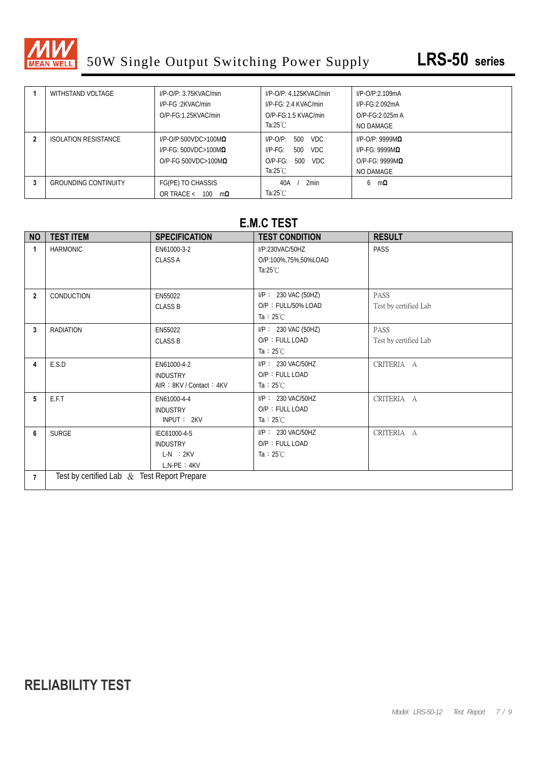

|   | WITHSTAND VOLTAGE           | $I/P$ -O/P: 3.75KVAC/min        | $I/P$ -O/P: 4.125KVAC/min  | $I/P$ - $O/P$ :2.109mA     |
|---|-----------------------------|---------------------------------|----------------------------|----------------------------|
|   |                             | I/P-FG:2KVAC/min                | $I/P$ - $FG: 2.4$ KVAC/min | $I/P-FG:2.092mA$           |
|   |                             | $O/P-FG:1.25KVAC/min$           | $O/P-FG:1.5$ KVAC/min      | $O/P-FG:2.025m A$          |
|   |                             |                                 | Ta: $25^{\circ}$ C         | NO DAMAGE                  |
|   | <b>ISOLATION RESISTANCE</b> | $I/P$ -O/P:500VDC>100M $\Omega$ | VDC.<br>500<br>$I/P$ -O/P: | $I/P$ -O/P: 9999M $\Omega$ |
|   |                             | $I/P-FG: 500VDC > 100M\Omega$   | VDC.<br>500<br>$IP-FG:$    | I/P-FG: 9999M $\Omega$     |
|   |                             | $O/P-FG:500VDC>100M\Omega$      | VDC.<br>$O/P-FG$ :<br>500  | $O/P-FG: 9999MQ$           |
|   |                             |                                 | Ta:25 $°C$                 | NO DAMAGE                  |
| 3 | <b>GROUNDING CONTINUITY</b> | FG(PE) TO CHASSIS               | 2min<br>40A                | mΩ<br>6                    |
|   |                             | OR TRACE <<br>100<br>mΩ         | Ta: $25^{\circ}$ C         |                            |

#### **E.M.C TEST**

| <b>NO</b>      | <b>TEST ITEM</b>                            | <b>SPECIFICATION</b>                                                | <b>TEST CONDITION</b>                                               | <b>RESULT</b>                        |  |  |
|----------------|---------------------------------------------|---------------------------------------------------------------------|---------------------------------------------------------------------|--------------------------------------|--|--|
| $\mathbf{1}$   | <b>HARMONIC</b>                             | EN61000-3-2<br><b>CLASS A</b>                                       | I/P:230VAC/50HZ<br>O/P:100%,75%,50%LOAD<br>Ta: $25^{\circ}$ C       | PASS                                 |  |  |
| $\overline{2}$ | CONDUCTION                                  | EN55022<br><b>CLASS B</b>                                           | $I/P$ : 230 VAC (50HZ)<br>O/P: FULL/50% LOAD<br>Ta : $25^{\circ}$ C | <b>PASS</b><br>Test by certified Lab |  |  |
| 3              | <b>RADIATION</b>                            | EN55022<br><b>CLASS B</b>                                           | $I/P$ : 230 VAC (50HZ)<br>O/P: FULL LOAD<br>Ta : $25^{\circ}$ C     | <b>PASS</b><br>Test by certified Lab |  |  |
| 4              | E.S.D                                       | EN61000-4-2<br><b>INDUSTRY</b><br>AIR: 8KV / Contact: 4KV           | I/P: 230 VAC/50HZ<br>O/P: FULL LOAD<br>Ta : $25^{\circ}$ C          | CRITERIA A                           |  |  |
| 5              | E.F.T                                       | EN61000-4-4<br><b>INDUSTRY</b><br>INPUT: 2KV                        | I/P: 230 VAC/50HZ<br>O/P: FULL LOAD<br>Ta : $25^{\circ}$ C          | CRITERIA A                           |  |  |
| 6              | <b>SURGE</b>                                | IEC61000-4-5<br><b>INDUSTRY</b><br>$L-N$ : $2KV$<br>$L, N-PE : 4KV$ | I/P: 230 VAC/50HZ<br>O/P: FULL LOAD<br>Ta : $25^{\circ}$ C          | CRITERIA A                           |  |  |
| $\overline{7}$ | Test by certified Lab & Test Report Prepare |                                                                     |                                                                     |                                      |  |  |

# **RELIABILITY TEST**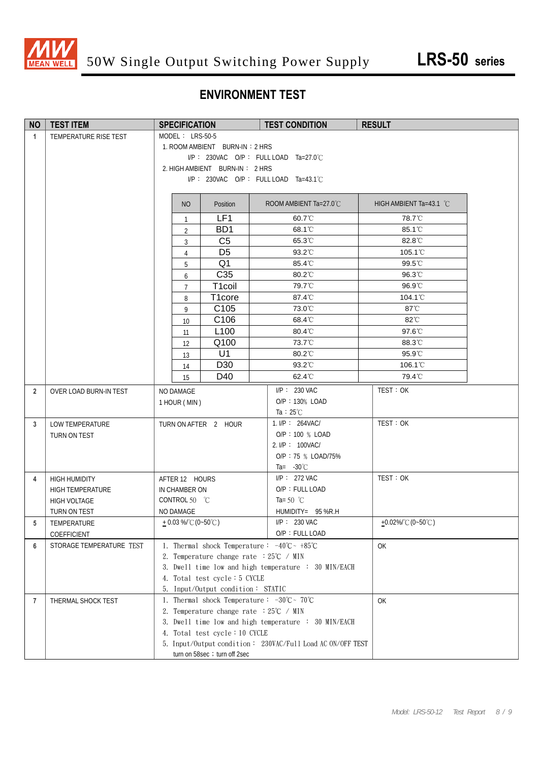

### **ENVIRONMENT TEST**

| <b>NO</b>      | <b>TEST ITEM</b>                        | <b>SPECIFICATION</b>                                                         | <b>TEST CONDITION</b>                                      | <b>RESULT</b>                              |
|----------------|-----------------------------------------|------------------------------------------------------------------------------|------------------------------------------------------------|--------------------------------------------|
| $\mathbf{1}$   | TEMPERATURE RISE TEST                   | MODEL: LRS-50-5                                                              |                                                            |                                            |
|                |                                         | 1. ROOM AMBIENT BURN-IN: 2 HRS                                               |                                                            |                                            |
|                |                                         |                                                                              | I/P: 230VAC O/P: FULL LOAD Ta=27.0°C                       |                                            |
|                |                                         | 2. HIGH AMBIENT BURN-IN: 2 HRS                                               |                                                            |                                            |
|                |                                         |                                                                              | I/P: 230VAC O/P: FULL LOAD Ta=43.1°C                       |                                            |
|                |                                         |                                                                              |                                                            |                                            |
|                |                                         | NO<br>Position                                                               | ROOM AMBIENT Ta=27.0°C                                     | HIGH AMBIENT Ta=43.1 $°C$                  |
|                |                                         | LF1<br>$\mathbf{1}$                                                          | 60.7°C                                                     | 78.7°C                                     |
|                |                                         | BD <sub>1</sub><br>$\overline{2}$                                            | 68.1°C                                                     | 85.1°C                                     |
|                |                                         | C <sub>5</sub><br>$\overline{3}$                                             | 65.3°C                                                     | 82.8°C                                     |
|                |                                         | D <sub>5</sub><br>4                                                          | 93.2°C                                                     | 105.1°C                                    |
|                |                                         | Q <sub>1</sub><br>5                                                          | 85.4°C                                                     | 99.5°C                                     |
|                |                                         | C35<br>6                                                                     | 80.2°C                                                     | 96.3°C                                     |
|                |                                         | T1coil<br>$\overline{7}$                                                     | 79.7°C                                                     | 96.9°C                                     |
|                |                                         | T1core<br>8                                                                  | 87.4°C                                                     | 104.1 <sup>°</sup> C                       |
|                |                                         | C <sub>105</sub><br>9                                                        | 73.0°C                                                     | $87^{\circ}$ C                             |
|                |                                         | C106<br>10                                                                   | 68.4°C                                                     | 82°C                                       |
|                |                                         | L <sub>100</sub><br>11                                                       | 80.4°C                                                     | 97.6°C                                     |
|                |                                         | Q100<br>12                                                                   | 73.7°C                                                     | 88.3°C                                     |
|                |                                         | U1<br>13                                                                     | 80.2°C                                                     | 95.9°C                                     |
|                |                                         | D30<br>14                                                                    | 93.2°C                                                     | 106.1°C                                    |
|                |                                         | D40<br>15                                                                    | 62.4°C                                                     | 79.4°C                                     |
| $\overline{2}$ | OVER LOAD BURN-IN TEST                  | NO DAMAGE                                                                    | I/P: 230 VAC                                               | TEST: OK                                   |
|                |                                         | 1 HOUR (MIN)                                                                 | O/P: 130% LOAD                                             |                                            |
|                |                                         |                                                                              | Ta : $25^{\circ}$ C                                        |                                            |
| 3              | LOW TEMPERATURE                         | TURN ON AFTER 2 HOUR                                                         | 1. I/P: 264VAC/                                            | TEST: OK                                   |
|                | TURN ON TEST                            |                                                                              | O/P: 100 % LOAD                                            |                                            |
|                |                                         |                                                                              | 2. I/P: 100VAC/                                            |                                            |
|                |                                         |                                                                              | O/P: 75 % LOAD/75%                                         |                                            |
|                |                                         |                                                                              | Ta= $-30^{\circ}$ C                                        |                                            |
| 4              | <b>HIGH HUMIDITY</b>                    | AFTER 12 HOURS                                                               | $I/P$ : 272 VAC                                            | TEST: OK                                   |
|                | <b>HIGH TEMPERATURE</b>                 | IN CHAMBER ON                                                                | O/P: FULL LOAD                                             |                                            |
|                | HIGH VOLTAGE                            | CONTROL 50 °C                                                                | Ta= 50 $^{\circ}$ C                                        |                                            |
|                | TURN ON TEST                            | NO DAMAGE                                                                    | HUMIDITY= 95 %R.H                                          |                                            |
| 5              | TEMPERATURE                             | $+0.03\%$ (0~50°C)                                                           | $I/P$ : 230 VAC<br>O/P: FULL LOAD                          | $+0.02\%$ $^{\circ}$ C (0~50 $^{\circ}$ C) |
|                | COEFFICIENT<br>STORAGE TEMPERATURE TEST | 1. Thermal shock Temperature: $-40^{\circ}\text{C} \sim +85^{\circ}\text{C}$ |                                                            |                                            |
| 6              |                                         | 2. Temperature change rate $:25^{\circ}C \rightarrow MIN$                    |                                                            | OK                                         |
|                |                                         |                                                                              | 3. Dwell time low and high temperature : 30 MIN/EACH       |                                            |
|                |                                         | 4. Total test cycle: 5 CYCLE                                                 |                                                            |                                            |
|                |                                         | 5.<br>Input/Output condition: STATIC                                         |                                                            |                                            |
| 7              | THERMAL SHOCK TEST                      | 1. Thermal shock Temperature: $-30^{\circ}\text{C} \sim 70^{\circ}\text{C}$  |                                                            | OK                                         |
|                |                                         | Temperature change rate $:25^{\circ}\text{C}$ / MIN<br>2.                    |                                                            |                                            |
|                |                                         |                                                                              | 3. Dwell time low and high temperature : 30 MIN/EACH       |                                            |
|                |                                         | 4. Total test cycle: 10 CYCLE                                                |                                                            |                                            |
|                |                                         |                                                                              | 5. Input/Output condition: 230VAC/Full Load AC ON/OFF TEST |                                            |
|                |                                         | turn on 58sec ; turn off 2sec                                                |                                                            |                                            |